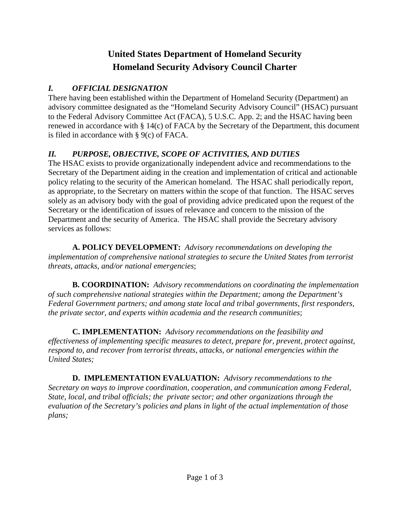# **United States Department of Homeland Security Homeland Security Advisory Council Charter**

#### *I. OFFICIAL DESIGNATION*

There having been established within the Department of Homeland Security (Department) an advisory committee designated as the "Homeland Security Advisory Council" (HSAC) pursuant to the Federal Advisory Committee Act (FACA), 5 U.S.C. App. 2; and the HSAC having been renewed in accordance with § 14(c) of FACA by the Secretary of the Department, this document is filed in accordance with § 9(c) of FACA.

#### *II. PURPOSE, OBJECTIVE, SCOPE OF ACTIVITIES, AND DUTIES*

The HSAC exists to provide organizationally independent advice and recommendations to the Secretary of the Department aiding in the creation and implementation of critical and actionable policy relating to the security of the American homeland. The HSAC shall periodically report, as appropriate, to the Secretary on matters within the scope of that function. The HSAC serves solely as an advisory body with the goal of providing advice predicated upon the request of the Secretary or the identification of issues of relevance and concern to the mission of the Department and the security of America. The HSAC shall provide the Secretary advisory services as follows:

**A. POLICY DEVELOPMENT:** *Advisory recommendations on developing the implementation of comprehensive national strategies to secure the United States from terrorist threats, attacks, and/or national emergencies*;

**B. COORDINATION:** *Advisory recommendations on coordinating the implementation of such comprehensive national strategies within the Department; among the Department's Federal Government partners; and among state local and tribal governments, first responders, the private sector, and experts within academia and the research communities*;

**C. IMPLEMENTATION:** *Advisory recommendations on the feasibility and effectiveness of implementing specific measures to detect, prepare for, prevent, protect against, respond to, and recover from terrorist threats, attacks, or national emergencies within the United States;*

**D. IMPLEMENTATION EVALUATION:** *Advisory recommendations to the Secretary on ways to improve coordination, cooperation, and communication among Federal, State, local, and tribal officials; the private sector; and other organizations through the evaluation of the Secretary's policies and plans in light of the actual implementation of those plans;*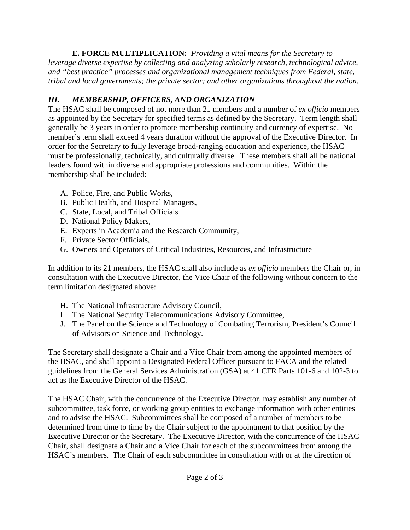**E. FORCE MULTIPLICATION:** *Providing a vital means for the Secretary to leverage diverse expertise by collecting and analyzing scholarly research, technological advice, and "best practice" processes and organizational management techniques from Federal, state, tribal and local governments; the private sector; and other organizations throughout the nation.*

#### *III. MEMBERSHIP, OFFICERS, AND ORGANIZATION*

The HSAC shall be composed of not more than 21 members and a number of *ex officio* members as appointed by the Secretary for specified terms as defined by the Secretary. Term length shall generally be 3 years in order to promote membership continuity and currency of expertise. No member's term shall exceed 4 years duration without the approval of the Executive Director. In order for the Secretary to fully leverage broad-ranging education and experience, the HSAC must be professionally, technically, and culturally diverse. These members shall all be national leaders found within diverse and appropriate professions and communities. Within the membership shall be included:

- A. Police, Fire, and Public Works,
- B. Public Health, and Hospital Managers,
- C. State, Local, and Tribal Officials
- D. National Policy Makers,
- E. Experts in Academia and the Research Community,
- F. Private Sector Officials,
- G. Owners and Operators of Critical Industries, Resources, and Infrastructure

In addition to its 21 members, the HSAC shall also include as *ex officio* members the Chair or, in consultation with the Executive Director, the Vice Chair of the following without concern to the term limitation designated above:

- H. The National Infrastructure Advisory Council,
- I. The National Security Telecommunications Advisory Committee,
- J. The Panel on the Science and Technology of Combating Terrorism, President's Council of Advisors on Science and Technology.

The Secretary shall designate a Chair and a Vice Chair from among the appointed members of the HSAC, and shall appoint a Designated Federal Officer pursuant to FACA and the related guidelines from the General Services Administration (GSA) at 41 CFR Parts 101-6 and 102-3 to act as the Executive Director of the HSAC.

The HSAC Chair, with the concurrence of the Executive Director, may establish any number of subcommittee, task force, or working group entities to exchange information with other entities and to advise the HSAC. Subcommittees shall be composed of a number of members to be determined from time to time by the Chair subject to the appointment to that position by the Executive Director or the Secretary. The Executive Director, with the concurrence of the HSAC Chair, shall designate a Chair and a Vice Chair for each of the subcommittees from among the HSAC's members. The Chair of each subcommittee in consultation with or at the direction of